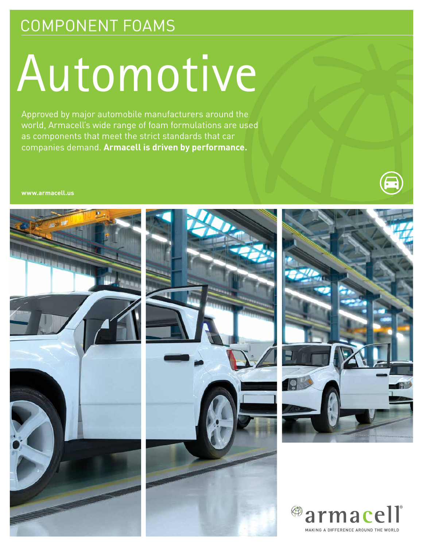## COMPONENT FOAMS

# Automotive

Approved by major automobile manufacturers around the world, Armacell's wide range of foam formulations are used as components that meet the strict standards that car companies demand. **Armacell is driven by performance.**

**www.armacell.us**





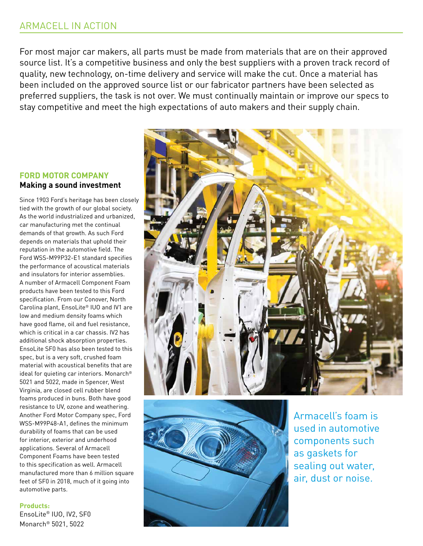#### ARMACELL IN ACTION

For most major car makers, all parts must be made from materials that are on their approved source list. It's a competitive business and only the best suppliers with a proven track record of quality, new technology, on-time delivery and service will make the cut. Once a material has been included on the approved source list or our fabricator partners have been selected as preferred suppliers, the task is not over. We must continually maintain or improve our specs to stay competitive and meet the high expectations of auto makers and their supply chain.

#### **FORD MOTOR COMPANY Making a sound investment**

Since 1903 Ford's heritage has been closely tied with the growth of our global society. As the world industrialized and urbanized, car manufacturing met the continual demands of that growth. As such Ford depends on materials that uphold their reputation in the automotive field. The Ford WSS-M99P32-E1 standard specifies the performance of acoustical materials and insulators for interior assemblies. A number of Armacell Component Foam products have been tested to this Ford specification. From our Conover, North Carolina plant, EnsoLite® IUO and IV1 are low and medium density foams which have good flame, oil and fuel resistance, which is critical in a car chassis. IV2 has additional shock absorption properties. EnsoLite SF0 has also been tested to this spec, but is a very soft, crushed foam material with acoustical benefits that are ideal for quieting car interiors. Monarch® 5021 and 5022, made in Spencer, West Virginia, are closed cell rubber blend foams produced in buns. Both have good resistance to UV, ozone and weathering. Another Ford Motor Company spec, Ford WSS-M99P48-A1, defines the minimum durability of foams that can be used for interior, exterior and underhood applications. Several of Armacell Component Foams have been tested to this specification as well. Armacell manufactured more than 6 million square feet of SF0 in 2018, much of it going into automotive parts.

#### **Products:**

EnsoLite® IUO, IV2, SF0 Monarch® 5021, 5022





Armacell's foam is used in automotive components such as gaskets for sealing out water, air, dust or noise.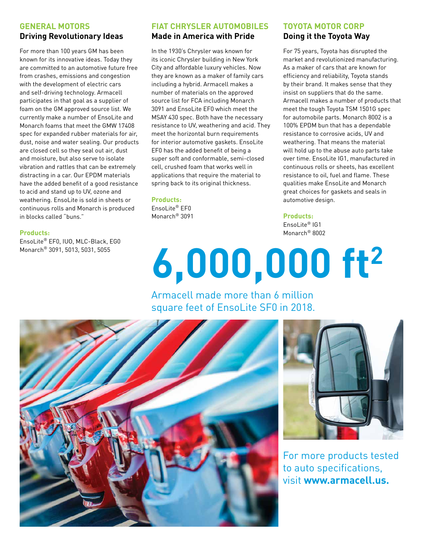#### **GENERAL MOTORS Driving Revolutionary Ideas**

For more than 100 years GM has been known for its innovative ideas. Today they are committed to an automotive future free from crashes, emissions and congestion with the development of electric cars and self-driving technology. Armacell participates in that goal as a supplier of foam on the GM approved source list. We currently make a number of EnsoLite and Monarch foams that meet the GMW 17408 spec for expanded rubber materials for air, dust, noise and water sealing. Our products are closed cell so they seal out air, dust and moisture, but also serve to isolate vibration and rattles that can be extremely distracting in a car. Our EPDM materials have the added benefit of a good resistance to acid and stand up to UV, ozone and weathering. EnsoLite is sold in sheets or continuous rolls and Monarch is produced in blocks called "buns."

#### **Products:**

EnsoLite® EF0, IUO, MLC-Black, EG0 Monarch® 3091, 5013, 5031, 5055

### **FIAT CHRYSLER AUTOMOBILES**

#### **Made in America with Pride**

In the 1930's Chrysler was known for its iconic Chrysler building in New York City and affordable luxury vehicles. Now they are known as a maker of family cars including a hybrid. Armacell makes a number of materials on the approved source list for FCA including Monarch 3091 and EnsoLite EF0 which meet the MSAY 430 spec. Both have the necessary resistance to UV, weathering and acid. They meet the horizontal burn requirements for interior automotive gaskets. EnsoLite EF0 has the added benefit of being a super soft and conformable, semi-closed cell, crushed foam that works well in applications that require the material to spring back to its original thickness.

#### **Products:**

EnsoLite® EF0 Monarch® 3091

#### **TOYOTA MOTOR CORP Doing it the Toyota Way**

For 75 years, Toyota has disrupted the market and revolutionized manufacturing. As a maker of cars that are known for efficiency and reliability, Toyota stands by their brand. It makes sense that they insist on suppliers that do the same. Armacell makes a number of products that meet the tough Toyota TSM 1501G spec for automobile parts. Monarch 8002 is a 100% EPDM bun that has a dependable resistance to corrosive acids, UV and weathering. That means the material will hold up to the abuse auto parts take over time. EnsoLite IG1, manufactured in continuous rolls or sheets, has excellent resistance to oil, fuel and flame. These qualities make EnsoLite and Monarch great choices for gaskets and seals in automotive design.

#### **Products:**

EnsoLite® IG1 Monarch® 8002

# **6,000,000 ft2**

### Armacell made more than 6 million square feet of EnsoLite SF0 in 2018.





For more products tested to auto specifications, visit **www.armacell.us.**